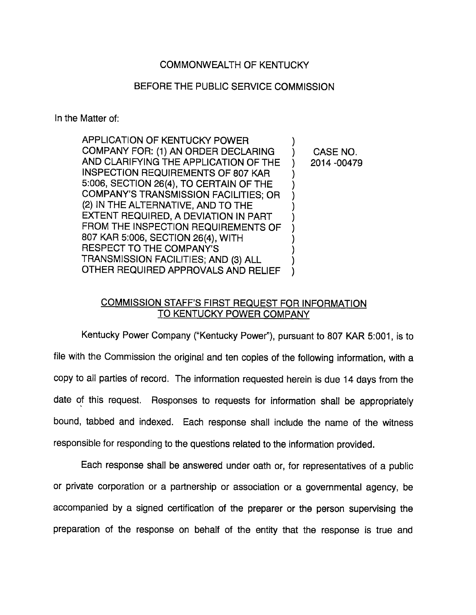## COMMONWEALTH OF KENTUCKY

## BEFORE THE PUBLIC SERVICE COMMISSION

In the Matter of:

| APPLICATION OF KENTUCKY POWER             |              |
|-------------------------------------------|--------------|
| COMPANY FOR: (1) AN ORDER DECLARING       | CASE NO.     |
| AND CLARIFYING THE APPLICATION OF THE     | 2014 - 00479 |
| <b>INSPECTION REQUIREMENTS OF 807 KAR</b> |              |
| 5:006, SECTION 26(4), TO CERTAIN OF THE   |              |
| COMPANY'S TRANSMISSION FACILITIES; OR     |              |
| (2) IN THE ALTERNATIVE, AND TO THE        |              |
| EXTENT REQUIRED, A DEVIATION IN PART      |              |
| FROM THE INSPECTION REQUIREMENTS OF       |              |
| 807 KAR 5:006, SECTION 26(4), WITH        |              |
| <b>RESPECT TO THE COMPANY'S</b>           |              |
| TRANSMISSION FACILITIES; AND (3) ALL      |              |
| OTHER REQUIRED APPROVALS AND RELIEF       |              |
|                                           |              |

## COMMISSION STAFF'S FIRST REQUEST FOR INFORMATION TO KENTUCKY POWER COMPANY

Kentucky Power Company ("Kentucky Power"), pursuant to 807 KAR 5:001, is to file with the Commission the original and ten copies of the following information, with a copy to all parties of record. The information requested herein is due 14 days from the date of this request. Responses to requests for information shall be appropriately bound, tabbed and indexed. Each response shall include the name of the witness responsible for responding to the questions related to the information provided.

Each response shall be answered under oath or, for representatives of a public or private corporation or a partnership or association or a governmental agency, be accompanied by a signed certification of the preparer or the person supervising the preparation of the response on behalf of the entity that the response is true and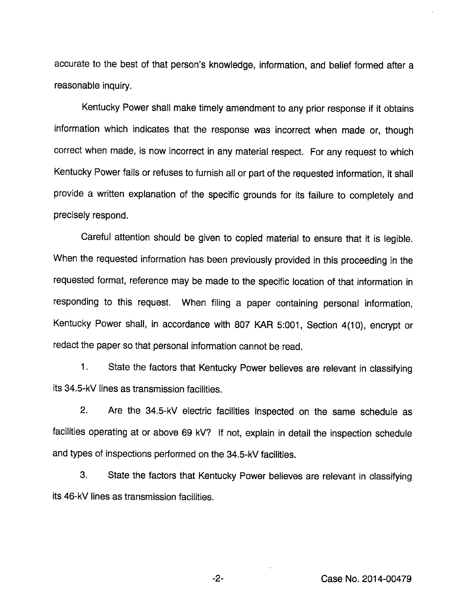accurate to the best of that person's knowledge, information, and belief formed after a reasonable inquiry.

Kentucky Power shall make timely amendment to any prior response if it obtains information which indicates that the response was incorrect when made or, though correct when made, is now incorrect in any material respect. For any request to which Kentucky Power fails or refuses to furnish all or part of the requested information, it shall provide a written explanation of the specific grounds for its failure to completely and precisely respond.

Careful attention should be given to copied material to ensure that it is legible. When the requested information has been previously provided in this proceeding in the requested format, reference may be made to the specific location of that information in responding to this request. When filing a paper containing personal information, Kentucky Power shall, in accordance with 807 KAR 5:001, Section 4(10), encrypt or redact the paper so that personal information cannot be read.

1. State the factors that Kentucky Power believes are relevant in classifying its 34.5-kV lines as transmission facilities.

2. Are the 34.5-kV electric facilities inspected on the same schedule as facilities operating at or above 69 kV? If not, explain in detail the inspection schedule and types of inspections performed on the 34.5-kV facilities.

3. State the factors that Kentucky Power believes are relevant in classifying its 46-kV lines as transmission facilities.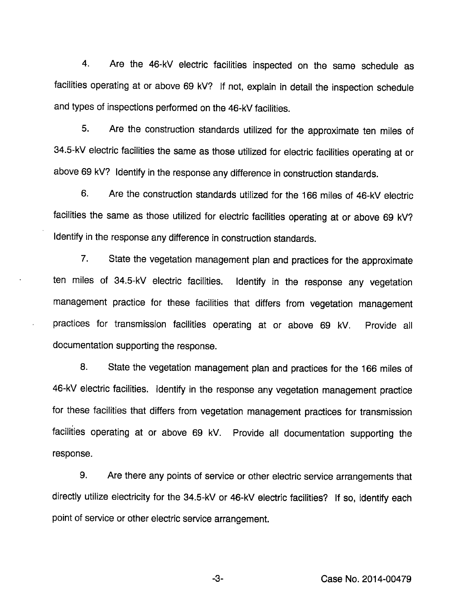4. Are the 46-kV electric facilities inspected on the same schedule as facilities operating at or above 69 kV? If not, explain in detail the inspection schedule and types of inspections performed on the 46-kV facilities.

5. Are the construction standards utilized for the approximate ten miles of 34.5-kV electric facilities the same as those utilized for electric facilities operating at or above 69 kV? Identify in the response any difference in construction standards.

6. Are the construction standards utilized for the 166 miles of 46-kV electric facilities the same as those utilized for electric facilities operating at or above 69 kV? Identify in the response any difference in construction standards.

7. State the vegetation management plan and practices for the approximate ten miles of 34.5-kV electric facilities. Identify in the response any vegetation management practice for these facilities that differs from vegetation management practices for transmission facilities operating at or above 69 kV. Provide all documentation supporting the response.

8. State the vegetation management plan and practices for the 166 miles of 46-kV electric facilities. Identify in the response any vegetation management practice for these facilities that differs from vegetation management practices for transmission facilities operating at or above 69 kV. Provide all documentation supporting the response.

9. Are there any points of service or other electric service arrangements that directly utilize electricity for the 34.5-kV or 46-kV electric facilities? If so, identify each point of service or other electric service arrangement.

-3- Case No. 2014-00479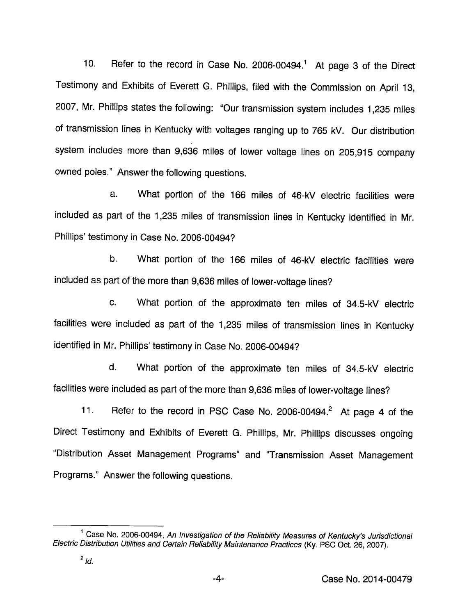10. Refer to the record in Case No. 2006-00494.<sup>1</sup> At page 3 of the Direct Testimony and Exhibits of Everett G. Philiips, filed with the Commission on April 13, 2007, Mr. Phillips states the following: "Our transmission system includes 1,235 miles of transmission lines in Kentucky with voltages ranging up to 765 kV. Our distribution system includes more than 9,636 miles of lower voltage lines on 205,915 company owned poles." Answer the following questions.

a. What portion of the 166 miles of 46-kV electric facilities were included as part of the 1,235 miles of transmission lines in Kentucky identified in Mr. Phillips' testimony in Case No. 2006-00494?

b. What portion of the 166 miles of 46-kV electric facilities were included as part of the more than 9,636 miles of lower-voltage lines?

c. What portion of the approximate ten miles of 34.5-kV electric facilities were included as part of the 1,235 miles of transmission lines in Kentucky identified in Mr. Phillips' testimony in Case No. 2006-00494?

d. What portion of the approximate ten miles of 34.5-kV electric facilities were included as part of the more than 9,636 miles of lower-voltage lines?

11. Refer to the record in PSC Case No. 2006-00494.<sup>2</sup> At page 4 of the Direct Testimony and Exhibits of Everett G. Phillips, Mr. Phillips discusses ongoing "Distribution Asset Management Programs" and "Transmission Asset Management Programs." Answer the following questions.

<sup>&</sup>lt;sup>1</sup> Case No. 2006-00494, An Investigation of the Reliability Measures of Kentucky's Jurisdictional Electric Distribution Utilities and Certain Reliability Maintenance Practices (Ky. PSC Oct. 26, 2007).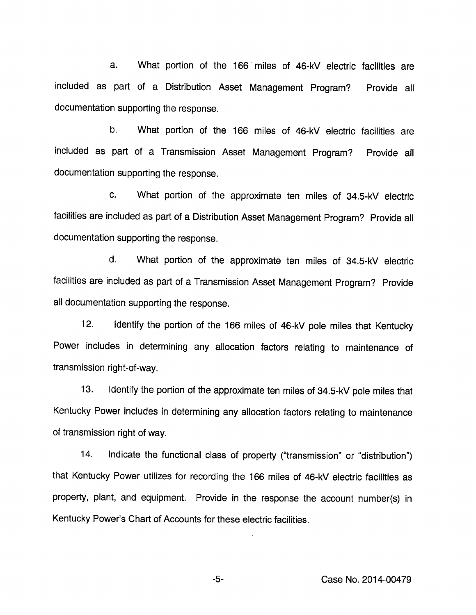a. What portion of the 166 miles of 46-kV electric facilities are included as part of a Distribution Asset Management Program? Provide all documentation supporting the response.

b. What portion of the 166 miles of 46-kV electric facilities are included as part of a Transmission Asset Management Program? Provide all documentation supporting the response.

c. What portion of the approximate ten miles of 34.5-kV electric facilities are included as part of a Distribution Asset Management Program? Provide all documentation supporting the response.

d. What portion of the approximate ten miles of 34.5-kV electric facilities are included as part of a Transmission Asset Management Program? Provide all documentation supporting the response.

12. Identify the portion of the 166 miles of 46-kV pole miles that Kentucky Power includes in determining any allocation factors relating to maintenance of transmission right-of-way.

13. Identify the portion of the approximate ten miles of 34.5-kV pole miles that Kentucky Power includes in determining any allocation factors relating to maintenance of transmission right of way.

14. Indicate the functional class of property ("transmission" or "distribution") that Kentucky Power utilizes for recording the 166 miles of 46-kV electric facilities as property, plant, and equipment. Provide in the response the account number(s) in Kentucky Power's Chart of Accounts for these electric facilities.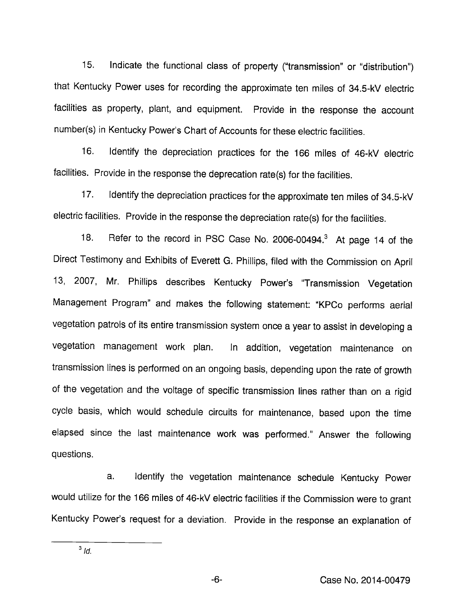15. Indicate the functional class of property ("transmission" or "distribution") that Kentucky Power uses for recording the approximate ten miles of 34.5-kV electric facilities as property, plant, and equipment. Provide in the response the account number(s) in Kentucky Power's Chart of Accounts for these electric facilities.

16. Identify the depreciation practices for the 166 miles of 46-kV electric facilities. Provide in the response the deprecation rate(s) for the facilities.

17. Identify the depreciation practices for the approximate ten miles of 34.5-kV electric facilities. Provide in the response the depreciation rate(s) for the facilities.

18. Refer to the record in PSC Case No. 2006-00494.<sup>3</sup> At page 14 of the Direct Testimony and Exhibits of Everett G. Phillips, filed with the Commission on April 13, 2007, Mr. Phillips describes Kentucky Power's "Transmission Vegetation Management Program" and makes the following statement: "KPCo performs aerial vegetation patrols of its entire transmission system once a year to assist in developing a vegetation management work plan. In addition, vegetation maintenance on transmission lines is performed on an ongoing basis, depending upon the rate of growth of the vegetation and the voltage of specific transmission lines rather than on a rigid cycle basis, which would schedule circuits for maintenance, based upon the time elapsed since the last maintenance work was performed." Answer the following questions.

a. Identify the vegetation maintenance schedule Kentucky Power would utilize for the 166 miles of 46-kV electric facilities if the Commission were to grant Kentucky Power's request for a deviation. Provide in the response an explanation of

 $3$  Id.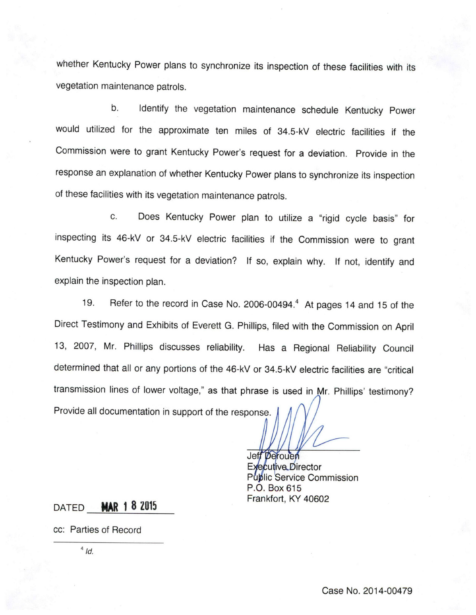whether Kentucky Power plans to synchronize its inspection of these facilities with its vegetation maintenance patrols.

b. identify the vegetation maintenance schedule Kentucky Power would utilized for the approximate ten miles of 34.5-kV electric facilities if the Commission were to grant Kentucky Power's request for a deviation. Provide in the response an explanation of whether Kentucky Power plans to synchronize its inspection of these facilities with its vegetation maintenance patrols.

c. Does Kentucky Power plan to utilize a "rigid cycle basis" for inspecting its 46-kV or 34.5-kV electric facilities if the Commission were to grant Kentucky Power's request for a deviation? If so, explain why. If not, identify and explain the inspection plan.

19. Refer to the record in Case No. 2006-00494.<sup>4</sup> At pages 14 and 15 of the Direct Testimony and Exhibits of Everett G. Phillips, filed with the Commission on April 13, 2007, Mr. Phillips discusses reliability. Has a Regional Reliability Council determined that all or any portions of the 46-kV or 34.5-kV electric facilities are "critical transmission lines of lower voltage," as that phrase is used in Mr. Phillips' testimony? Provide all documentation in support of the response.

> Jeff Derouen Executive Director Puplic Service Commission P.O. Box 615 Frankfort, KY 40602

DATED **MAR 1 8 2015** 

cc; Parties of Record

 $4$  Id.